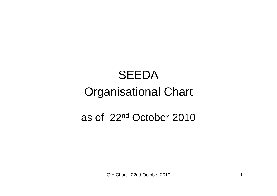# **SEEDA** Organisational Chart

## as of 22nd October 2010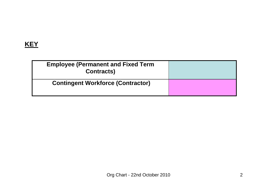## **KEY**

| <b>Employee (Permanent and Fixed Term</b><br><b>Contracts)</b> |  |
|----------------------------------------------------------------|--|
| <b>Contingent Workforce (Contractor)</b>                       |  |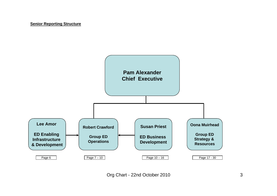#### **Senior Reporting Structure**

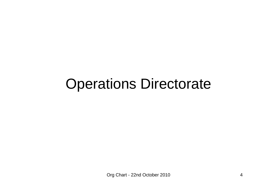## Operations Directorate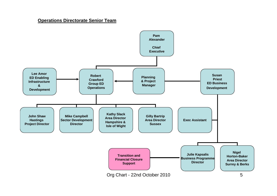#### **Operations Directorate Senior Team**

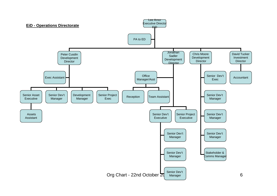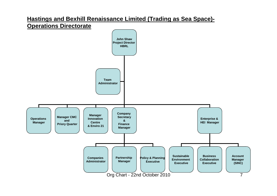### **Hastings and Bexhill Renaissance Limited (Trading as Sea Space)- Operations Directorate**

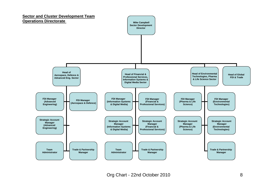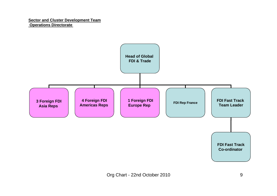#### **Sector and Cluster Development Team Operations Directorate**

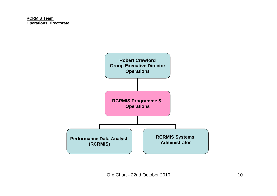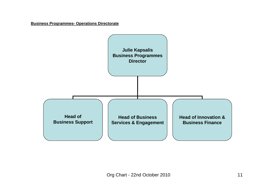**Business Programmes- Operations Directorate** 

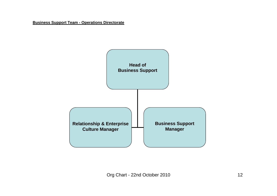#### **Business Support Team - Operations Directorate**

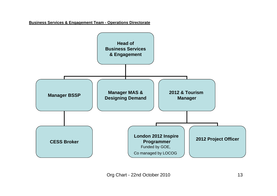#### **Business Services & Engagement Team - Operations Directorate**

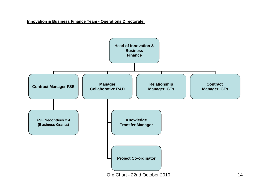#### **Innovation & Business Finance Team - Operations Directorate:**

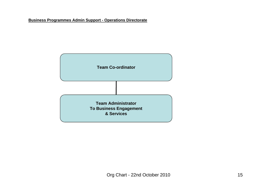#### **Business Programmes Admin Support - Operations Directorate**

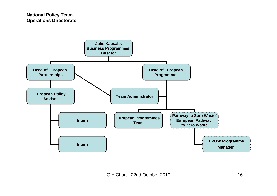#### **National Policy Team Operations Directorate**

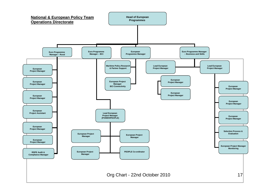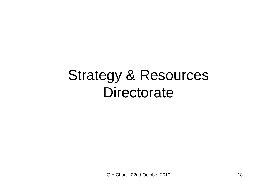## Strategy & Resources **Directorate**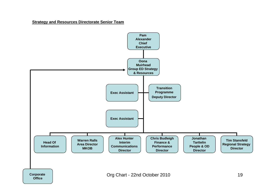**Strategy and Resources Directorate Senior Team**

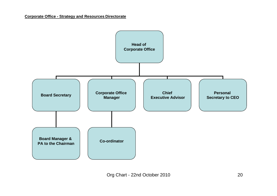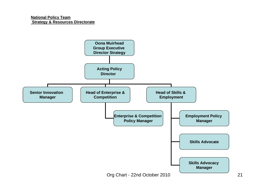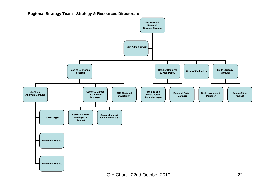#### **Regional Strategy Team - Strategy & Resources Directorate**

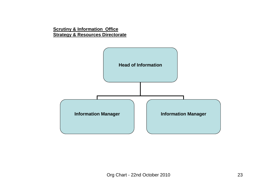**Scrutiny & Information Office Strategy & Resources Directorate**

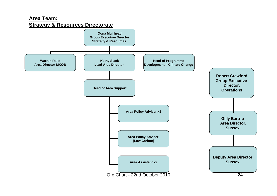### **Area Team: Strategy & Resources Directorate**

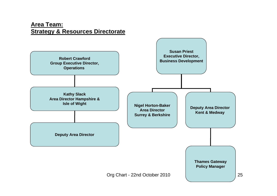### **Area Team: Strategy & Resources Directorate**

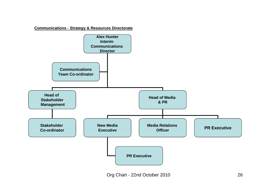**Communications - Strategy & Resources Directorate**

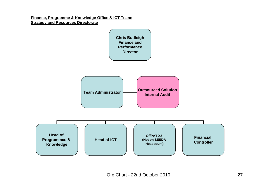#### **Finance, Programme & Knowledge Office & ICT Team: Strategy and Resources Directorate**

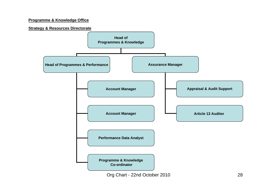#### **Programme & Knowledge Office**

#### **Strategy & Resources Directorate**

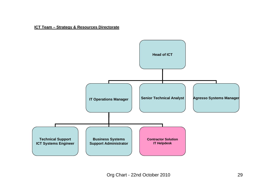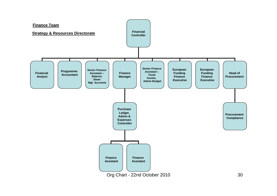